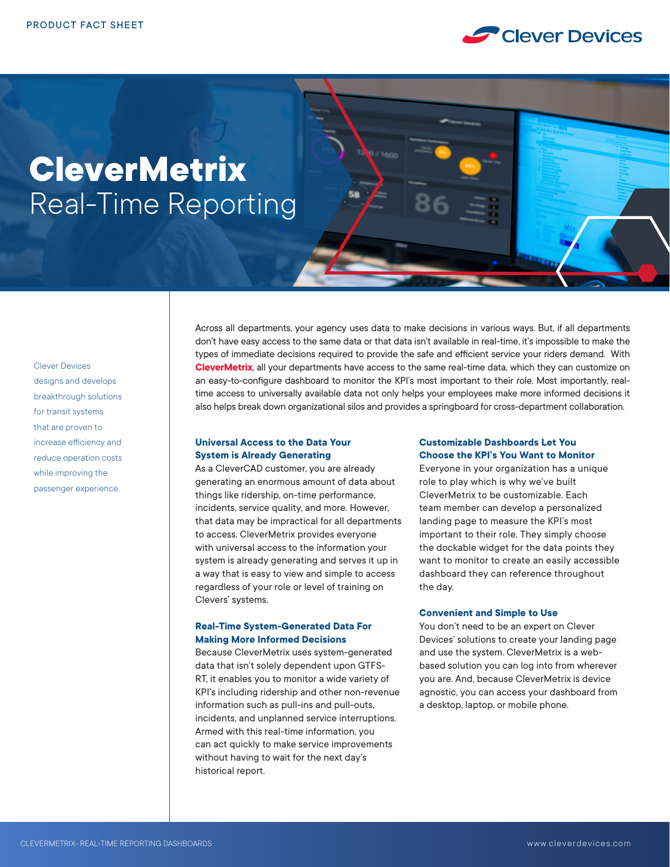

# **CleverMetrix** Real-Time Reporting

Clever Devices designs and develops breakthrough solutions for transit systems that are proven to increase efficiency and reduce operation costs while improving the passenger experience.

Across all departments, your agency uses data to make decisions in various ways. But, if all departments don't have easy access to the same data or that data isn't available in real-time, it's impossible to make the types of immediate decisions required to provide the safe and efficient service your riders demand. With **CleverMetrix**, all your departments have access to the same real-time data, which they can customize on an easy-to-configure dashboard to monitor the KPI's most important to their role. Most importantly, realtime access to universally available data not only helps your employees make more informed decisions it also helps break down organizational silos and provides a springboard for cross-department collaboration.

#### **Universal Access to the Data Your System is Already Generating**

As a CleverCAD customer, you are already generating an enormous amount of data about things like ridership, on-time performance, incidents, service quality, and more. However, that data may be impractical for all departments to access. CleverMetrix provides everyone with universal access to the information your system is already generating and serves it up in a way that is easy to view and simple to access regardless of your role or level of training on Clevers' systems.

# **Real-Time System-Generated Data For Making More Informed Decisions**

Because CleverMetrix uses system-generated data that isn't solely dependent upon GTFS-RT, it enables you to monitor a wide variety of KPI's including ridership and other non-revenue information such as pull-ins and pull-outs, incidents, and unplanned service interruptions. Armed with this real-time information, you can act quickly to make service improvements without having to wait for the next day's historical report.

## **Customizable Dashboards Let You Choose the KPI's You Want to Monitor**

Everyone in your organization has a unique role to play which is why we've built CleverMetrix to be customizable. Each team member can develop a personalized landing page to measure the KPI's most important to their role. They simply choose the dockable widget for the data points they want to monitor to create an easily accessible dashboard they can reference throughout the day.

## **Convenient and Simple to Use**

You don't need to be an expert on Clever Devices' solutions to create your landing page and use the system. CleverMetrix is a webbased solution you can log into from wherever you are. And, because CleverMetrix is device agnostic, you can access your dashboard from a desktop, laptop, or mobile phone.